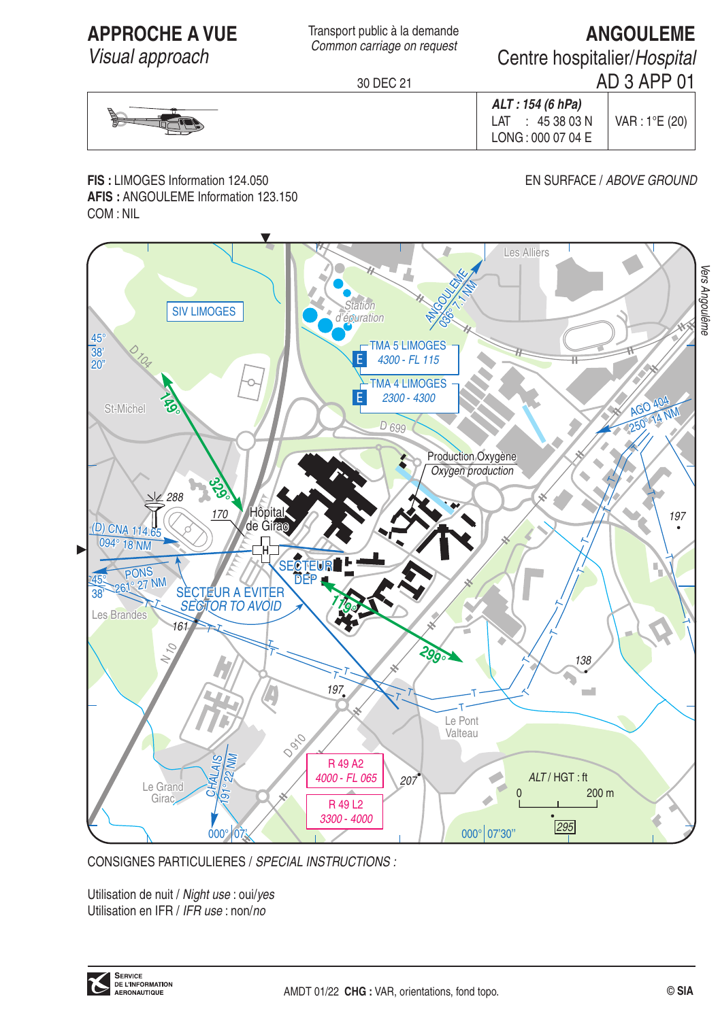**APPROCHE A VUE** 

Visual approach

Transport public à la demande Common carriage on request

# **ANGOULEME**

Centre hospitalier/Hospital

30 DFC 21

AD 3 APP 01 ALT: 154 (6 hPa)  $LAT : 453803N$ VAR: 1°E (20) LONG: 000 07 04 E

FIS: I IMOGES Information 124.050 AFIS: ANGOULEME Information 123.150 COM: NIL

### FN SURFACE / ABOVE GROUND



CONSIGNES PARTICULIERES / SPECIAL INSTRUCTIONS :

Utilisation de nuit / Night use : oui/yes Utilisation en IFR / IFR use : non/no